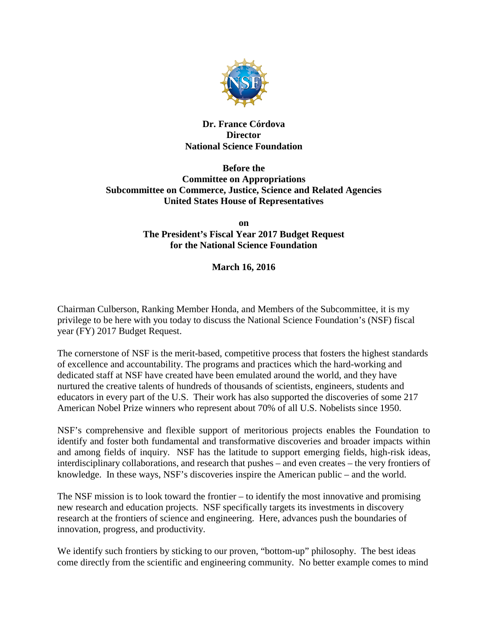

### **Dr. France Córdova Director National Science Foundation**

### **Before the Committee on Appropriations Subcommittee on Commerce, Justice, Science and Related Agencies United States House of Representatives**

**on The President's Fiscal Year 2017 Budget Request for the National Science Foundation**

**March 16, 2016**

Chairman Culberson, Ranking Member Honda, and Members of the Subcommittee, it is my privilege to be here with you today to discuss the National Science Foundation's (NSF) fiscal year (FY) 2017 Budget Request.

The cornerstone of NSF is the merit-based, competitive process that fosters the highest standards of excellence and accountability. The programs and practices which the hard-working and dedicated staff at NSF have created have been emulated around the world, and they have nurtured the creative talents of hundreds of thousands of scientists, engineers, students and educators in every part of the U.S. Their work has also supported the discoveries of some 217 American Nobel Prize winners who represent about 70% of all U.S. Nobelists since 1950.

NSF's comprehensive and flexible support of meritorious projects enables the Foundation to identify and foster both fundamental and transformative discoveries and broader impacts within and among fields of inquiry. NSF has the latitude to support emerging fields, high-risk ideas, interdisciplinary collaborations, and research that pushes – and even creates – the very frontiers of knowledge. In these ways, NSF's discoveries inspire the American public – and the world.

The NSF mission is to look toward the frontier – to identify the most innovative and promising new research and education projects. NSF specifically targets its investments in discovery research at the frontiers of science and engineering. Here, advances push the boundaries of innovation, progress, and productivity.

We identify such frontiers by sticking to our proven, "bottom-up" philosophy. The best ideas come directly from the scientific and engineering community. No better example comes to mind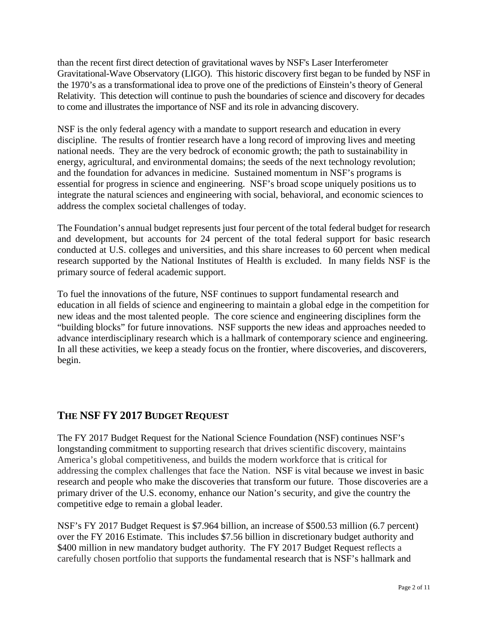than the recent first direct detection of gravitational waves by NSF's Laser Interferometer Gravitational-Wave Observatory (LIGO). This historic discovery first began to be funded by NSF in the 1970's as a transformational idea to prove one of the predictions of Einstein's theory of General Relativity. This detection will continue to push the boundaries of science and discovery for decades to come and illustrates the importance of NSF and its role in advancing discovery.

NSF is the only federal agency with a mandate to support research and education in every discipline. The results of frontier research have a long record of improving lives and meeting national needs. They are the very bedrock of economic growth; the path to sustainability in energy, agricultural, and environmental domains; the seeds of the next technology revolution; and the foundation for advances in medicine. Sustained momentum in NSF's programs is essential for progress in science and engineering. NSF's broad scope uniquely positions us to integrate the natural sciences and engineering with social, behavioral, and economic sciences to address the complex societal challenges of today.

The Foundation's annual budget represents just four percent of the total federal budget for research and development, but accounts for 24 percent of the total federal support for basic research conducted at U.S. colleges and universities, and this share increases to 60 percent when medical research supported by the National Institutes of Health is excluded. In many fields NSF is the primary source of federal academic support.

To fuel the innovations of the future, NSF continues to support fundamental research and education in all fields of science and engineering to maintain a global edge in the competition for new ideas and the most talented people. The core science and engineering disciplines form the "building blocks" for future innovations. NSF supports the new ideas and approaches needed to advance interdisciplinary research which is a hallmark of contemporary science and engineering. In all these activities, we keep a steady focus on the frontier, where discoveries, and discoverers, begin.

# **THE NSF FY 2017 BUDGET REQUEST**

The FY 2017 Budget Request for the National Science Foundation (NSF) continues NSF's longstanding commitment to supporting research that drives scientific discovery, maintains America's global competitiveness, and builds the modern workforce that is critical for addressing the complex challenges that face the Nation. NSF is vital because we invest in basic research and people who make the discoveries that transform our future. Those discoveries are a primary driver of the U.S. economy, enhance our Nation's security, and give the country the competitive edge to remain a global leader.

NSF's FY 2017 Budget Request is \$7.964 billion, an increase of \$500.53 million (6.7 percent) over the FY 2016 Estimate. This includes \$7.56 billion in discretionary budget authority and \$400 million in new mandatory budget authority. The FY 2017 Budget Request reflects a carefully chosen portfolio that supports the fundamental research that is NSF's hallmark and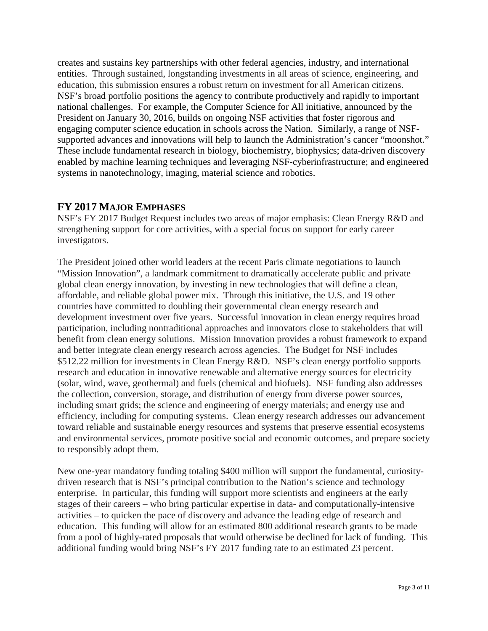creates and sustains key partnerships with other federal agencies, industry, and international entities. Through sustained, longstanding investments in all areas of science, engineering, and education, this submission ensures a robust return on investment for all American citizens. NSF's broad portfolio positions the agency to contribute productively and rapidly to important national challenges. For example, the Computer Science for All initiative, announced by the President on January 30, 2016, builds on ongoing NSF activities that foster rigorous and engaging computer science education in schools across the Nation. Similarly, a range of NSFsupported advances and innovations will help to launch the Administration's cancer "moonshot." These include fundamental research in biology, biochemistry, biophysics; data-driven discovery enabled by machine learning techniques and leveraging NSF-cyberinfrastructure; and engineered systems in nanotechnology, imaging, material science and robotics.

## **FY 2017 MAJOR EMPHASES**

NSF's FY 2017 Budget Request includes two areas of major emphasis: Clean Energy R&D and strengthening support for core activities, with a special focus on support for early career investigators.

The President joined other world leaders at the recent Paris climate negotiations to launch "Mission Innovation", a landmark commitment to dramatically accelerate public and private global clean energy innovation, by investing in new technologies that will define a clean, affordable, and reliable global power mix. Through this initiative, the U.S. and 19 other countries have committed to doubling their governmental clean energy research and development investment over five years. Successful innovation in clean energy requires broad participation, including nontraditional approaches and innovators close to stakeholders that will benefit from clean energy solutions. Mission Innovation provides a robust framework to expand and better integrate clean energy research across agencies. The Budget for NSF includes \$512.22 million for investments in Clean Energy R&D. NSF's clean energy portfolio supports research and education in innovative renewable and alternative energy sources for electricity (solar, wind, wave, geothermal) and fuels (chemical and biofuels). NSF funding also addresses the collection, conversion, storage, and distribution of energy from diverse power sources, including smart grids; the science and engineering of energy materials; and energy use and efficiency, including for computing systems. Clean energy research addresses our advancement toward reliable and sustainable energy resources and systems that preserve essential ecosystems and environmental services, promote positive social and economic outcomes, and prepare society to responsibly adopt them.

New one-year mandatory funding totaling \$400 million will support the fundamental, curiositydriven research that is NSF's principal contribution to the Nation's science and technology enterprise. In particular, this funding will support more scientists and engineers at the early stages of their careers – who bring particular expertise in data- and computationally-intensive activities – to quicken the pace of discovery and advance the leading edge of research and education. This funding will allow for an estimated 800 additional research grants to be made from a pool of highly-rated proposals that would otherwise be declined for lack of funding. This additional funding would bring NSF's FY 2017 funding rate to an estimated 23 percent.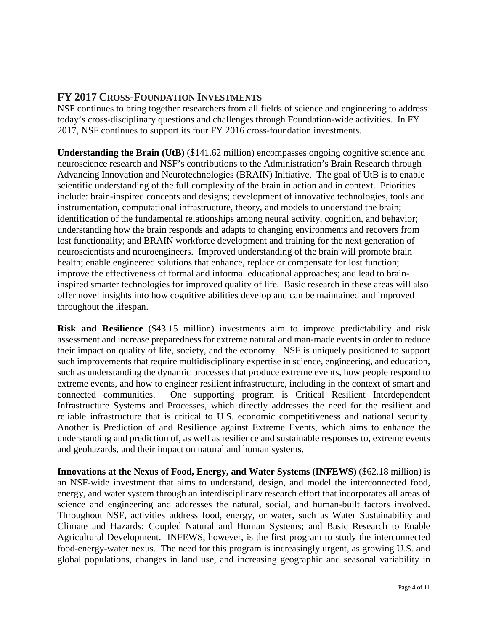## **FY 2017 CROSS-FOUNDATION INVESTMENTS**

NSF continues to bring together researchers from all fields of science and engineering to address today's cross-disciplinary questions and challenges through Foundation-wide activities. In FY 2017, NSF continues to support its four FY 2016 cross-foundation investments.

**Understanding the Brain (UtB)** (\$141.62 million) encompasses ongoing cognitive science and neuroscience research and NSF's contributions to the Administration's Brain Research through Advancing Innovation and Neurotechnologies (BRAIN) Initiative. The goal of UtB is to enable scientific understanding of the full complexity of the brain in action and in context. Priorities include: brain-inspired concepts and designs; development of innovative technologies, tools and instrumentation, computational infrastructure, theory, and models to understand the brain; identification of the fundamental relationships among neural activity, cognition, and behavior; understanding how the brain responds and adapts to changing environments and recovers from lost functionality; and BRAIN workforce development and training for the next generation of neuroscientists and neuroengineers. Improved understanding of the brain will promote brain health; enable engineered solutions that enhance, replace or compensate for lost function; improve the effectiveness of formal and informal educational approaches; and lead to braininspired smarter technologies for improved quality of life. Basic research in these areas will also offer novel insights into how cognitive abilities develop and can be maintained and improved throughout the lifespan.

**Risk and Resilience** (\$43.15 million) investments aim to improve predictability and risk assessment and increase preparedness for extreme natural and man-made events in order to reduce their impact on quality of life, society, and the economy. NSF is uniquely positioned to support such improvements that require multidisciplinary expertise in science, engineering, and education, such as understanding the dynamic processes that produce extreme events, how people respond to extreme events, and how to engineer resilient infrastructure, including in the context of smart and connected communities. One supporting program is Critical Resilient Interdependent Infrastructure Systems and Processes, which directly addresses the need for the resilient and reliable infrastructure that is critical to U.S. economic competitiveness and national security. Another is Prediction of and Resilience against Extreme Events, which aims to enhance the understanding and prediction of, as well as resilience and sustainable responses to, extreme events and geohazards, and their impact on natural and human systems.

**Innovations at the Nexus of Food, Energy, and Water Systems (INFEWS)** (\$62.18 million) is an NSF-wide investment that aims to understand, design, and model the interconnected food, energy, and water system through an interdisciplinary research effort that incorporates all areas of science and engineering and addresses the natural, social, and human-built factors involved. Throughout NSF, activities address food, energy, or water, such as Water Sustainability and Climate and Hazards; Coupled Natural and Human Systems; and Basic Research to Enable Agricultural Development. INFEWS, however, is the first program to study the interconnected food-energy-water nexus. The need for this program is increasingly urgent, as growing U.S. and global populations, changes in land use, and increasing geographic and seasonal variability in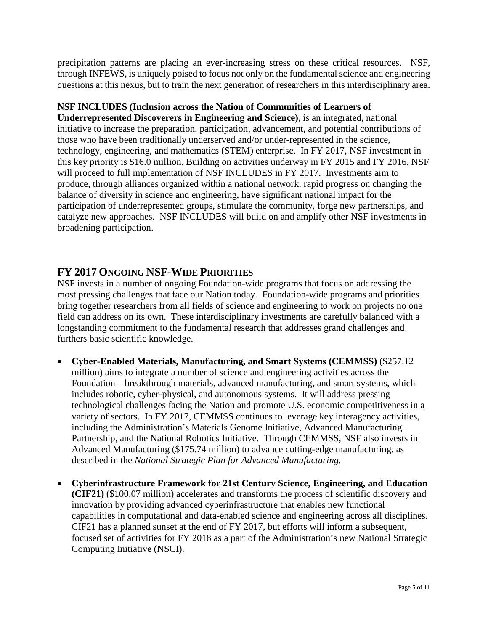precipitation patterns are placing an ever-increasing stress on these critical resources. NSF, through INFEWS, is uniquely poised to focus not only on the fundamental science and engineering questions at this nexus, but to train the next generation of researchers in this interdisciplinary area.

#### **NSF INCLUDES (Inclusion across the Nation of Communities of Learners of**

**Underrepresented Discoverers in Engineering and Science)**, is an integrated, national initiative to increase the preparation, participation, advancement, and potential contributions of those who have been traditionally underserved and/or under-represented in the science, technology, engineering, and mathematics (STEM) enterprise. In FY 2017, NSF investment in this key priority is \$16.0 million. Building on activities underway in FY 2015 and FY 2016, NSF will proceed to full implementation of NSF INCLUDES in FY 2017. Investments aim to produce, through alliances organized within a national network, rapid progress on changing the balance of diversity in science and engineering, have significant national impact for the participation of underrepresented groups, stimulate the community, forge new partnerships, and catalyze new approaches. NSF INCLUDES will build on and amplify other NSF investments in broadening participation.

### **FY 2017 ONGOING NSF-WIDE PRIORITIES**

NSF invests in a number of ongoing Foundation-wide programs that focus on addressing the most pressing challenges that face our Nation today. Foundation-wide programs and priorities bring together researchers from all fields of science and engineering to work on projects no one field can address on its own. These interdisciplinary investments are carefully balanced with a longstanding commitment to the fundamental research that addresses grand challenges and furthers basic scientific knowledge.

- **Cyber-Enabled Materials, Manufacturing, and Smart Systems (CEMMSS)** (\$257.12 million) aims to integrate a number of science and engineering activities across the Foundation – breakthrough materials, advanced manufacturing, and smart systems, which includes robotic, cyber-physical, and autonomous systems. It will address pressing technological challenges facing the Nation and promote U.S. economic competitiveness in a variety of sectors. In FY 2017, CEMMSS continues to leverage key interagency activities, including the Administration's Materials Genome Initiative, Advanced Manufacturing Partnership, and the National Robotics Initiative. Through CEMMSS, NSF also invests in Advanced Manufacturing (\$175.74 million) to advance cutting-edge manufacturing, as described in the *National Strategic Plan for Advanced Manufacturing.*
- **Cyberinfrastructure Framework for 21st Century Science, Engineering, and Education (CIF21)** (\$100.07 million) accelerates and transforms the process of scientific discovery and innovation by providing advanced cyberinfrastructure that enables new functional capabilities in computational and data-enabled science and engineering across all disciplines. CIF21 has a planned sunset at the end of FY 2017, but efforts will inform a subsequent, focused set of activities for FY 2018 as a part of the Administration's new National Strategic Computing Initiative (NSCI).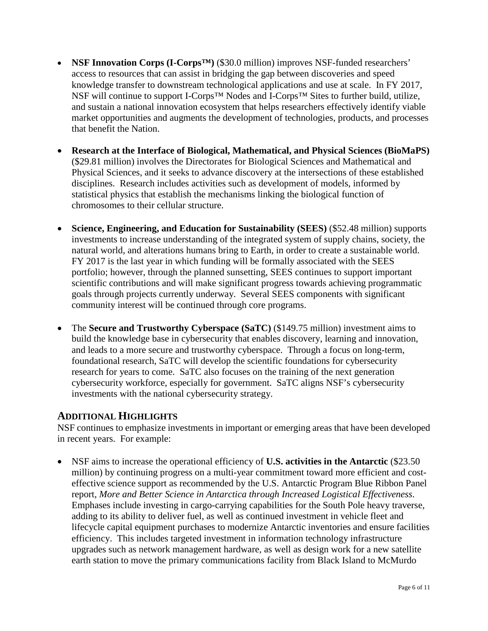- **NSF Innovation Corps (I-Corps<sup>TM</sup>)** (\$30.0 million) improves NSF-funded researchers' access to resources that can assist in bridging the gap between discoveries and speed knowledge transfer to downstream technological applications and use at scale. In FY 2017, NSF will continue to support I-Corps<sup>™</sup> Nodes and I-Corps<sup>™</sup> Sites to further build, utilize, and sustain a national innovation ecosystem that helps researchers effectively identify viable market opportunities and augments the development of technologies, products, and processes that benefit the Nation.
- **Research at the Interface of Biological, Mathematical, and Physical Sciences (BioMaPS)** (\$29.81 million) involves the Directorates for Biological Sciences and Mathematical and Physical Sciences, and it seeks to advance discovery at the intersections of these established disciplines. Research includes activities such as development of models, informed by statistical physics that establish the mechanisms linking the biological function of chromosomes to their cellular structure.
- **Science, Engineering, and Education for Sustainability (SEES)** (\$52.48 million) supports investments to increase understanding of the integrated system of supply chains, society, the natural world, and alterations humans bring to Earth, in order to create a sustainable world. FY 2017 is the last year in which funding will be formally associated with the SEES portfolio; however, through the planned sunsetting, SEES continues to support important scientific contributions and will make significant progress towards achieving programmatic goals through projects currently underway. Several SEES components with significant community interest will be continued through core programs.
- The **Secure and Trustworthy Cyberspace (SaTC)** (\$149.75 million) investment aims to build the knowledge base in cybersecurity that enables discovery, learning and innovation, and leads to a more secure and trustworthy cyberspace. Through a focus on long-term, foundational research, SaTC will develop the scientific foundations for cybersecurity research for years to come. SaTC also focuses on the training of the next generation cybersecurity workforce, especially for government. SaTC aligns NSF's cybersecurity investments with the national cybersecurity strategy.

# **ADDITIONAL HIGHLIGHTS**

NSF continues to emphasize investments in important or emerging areas that have been developed in recent years. For example:

• NSF aims to increase the operational efficiency of **U.S. activities in the Antarctic** (\$23.50 million) by continuing progress on a multi-year commitment toward more efficient and costeffective science support as recommended by the U.S. Antarctic Program Blue Ribbon Panel report, *More and Better Science in Antarctica through Increased Logistical Effectiveness*. Emphases include investing in cargo-carrying capabilities for the South Pole heavy traverse, adding to its ability to deliver fuel, as well as continued investment in vehicle fleet and lifecycle capital equipment purchases to modernize Antarctic inventories and ensure facilities efficiency. This includes targeted investment in information technology infrastructure upgrades such as network management hardware, as well as design work for a new satellite earth station to move the primary communications facility from Black Island to McMurdo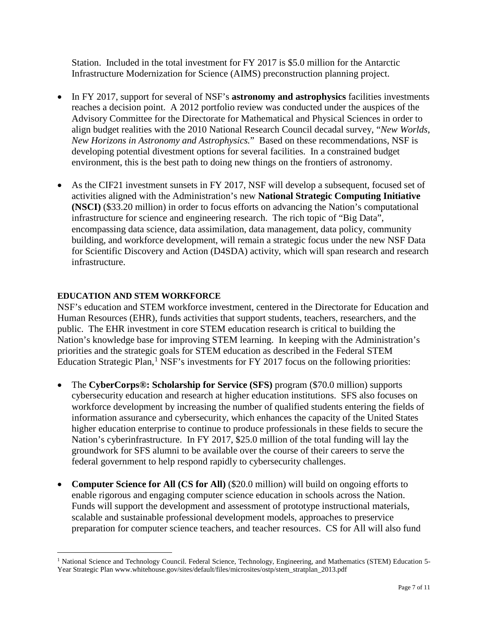Station. Included in the total investment for FY 2017 is \$5.0 million for the Antarctic Infrastructure Modernization for Science (AIMS) preconstruction planning project.

- In FY 2017, support for several of NSF's **astronomy and astrophysics** facilities investments reaches a decision point. A 2012 portfolio review was conducted under the auspices of the Advisory Committee for the Directorate for Mathematical and Physical Sciences in order to align budget realities with the 2010 National Research Council decadal survey, "*New Worlds, New Horizons in Astronomy and Astrophysics.*" Based on these recommendations, NSF is developing potential divestment options for several facilities. In a constrained budget environment, this is the best path to doing new things on the frontiers of astronomy.
- As the CIF21 investment sunsets in FY 2017, NSF will develop a subsequent, focused set of activities aligned with the Administration's new **National Strategic Computing Initiative (NSCI)** (\$33.20 million) in order to focus efforts on advancing the Nation's computational infrastructure for science and engineering research. The rich topic of "Big Data", encompassing data science, data assimilation, data management, data policy, community building, and workforce development, will remain a strategic focus under the new NSF Data for Scientific Discovery and Action (D4SDA) activity, which will span research and research infrastructure.

### **EDUCATION AND STEM WORKFORCE**

NSF's education and STEM workforce investment, centered in the Directorate for Education and Human Resources (EHR), funds activities that support students, teachers, researchers, and the public. The EHR investment in core STEM education research is critical to building the Nation's knowledge base for improving STEM learning. In keeping with the Administration's priorities and the strategic goals for STEM education as described in the Federal STEM Education Strategic Plan, $1$  NSF's investments for FY 2017 focus on the following priorities:

- The **CyberCorps®: Scholarship for Service (SFS)** program (\$70.0 million) supports cybersecurity education and research at higher education institutions. SFS also focuses on workforce development by increasing the number of qualified students entering the fields of information assurance and cybersecurity, which enhances the capacity of the United States higher education enterprise to continue to produce professionals in these fields to secure the Nation's cyberinfrastructure. In FY 2017, \$25.0 million of the total funding will lay the groundwork for SFS alumni to be available over the course of their careers to serve the federal government to help respond rapidly to cybersecurity challenges.
- **Computer Science for All (CS for All)** (\$20.0 million) will build on ongoing efforts to enable rigorous and engaging computer science education in schools across the Nation. Funds will support the development and assessment of prototype instructional materials, scalable and sustainable professional development models, approaches to preservice preparation for computer science teachers, and teacher resources. CS for All will also fund

<span id="page-6-0"></span><sup>&</sup>lt;sup>1</sup> National Science and Technology Council. Federal Science, Technology, Engineering, and Mathematics (STEM) Education 5-Year Strategic Pla[n www.whitehouse.gov/sites/default/files/microsites/ostp/stem\\_stratplan\\_2013.pdf](http://www.whitehouse.gov/sites/default/files/microsites/ostp/stem_stratplan_2013.pdf)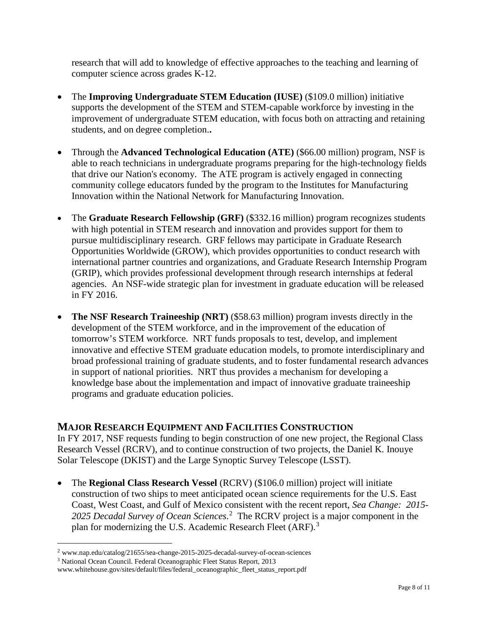research that will add to knowledge of effective approaches to the teaching and learning of computer science across grades K-12.

- The **Improving Undergraduate STEM Education (IUSE)** (\$109.0 million) initiative supports the development of the STEM and STEM-capable workforce by investing in the improvement of undergraduate STEM education, with focus both on attracting and retaining students, and on degree completion.**.**
- Through the **Advanced Technological Education (ATE)** (\$66.00 million) program, NSF is able to reach technicians in undergraduate programs preparing for the high-technology fields that drive our Nation's economy. The ATE program is actively engaged in connecting community college educators funded by the program to the Institutes for Manufacturing Innovation within the National Network for Manufacturing Innovation.
- The **Graduate Research Fellowship (GRF)** (\$332.16 million) program recognizes students with high potential in STEM research and innovation and provides support for them to pursue multidisciplinary research. GRF fellows may participate in Graduate Research Opportunities Worldwide (GROW), which provides opportunities to conduct research with international partner countries and organizations, and Graduate Research Internship Program (GRIP), which provides professional development through research internships at federal agencies. An NSF-wide strategic plan for investment in graduate education will be released in FY 2016.
- **The NSF Research Traineeship (NRT)** (\$58.63 million) program invests directly in the development of the STEM workforce, and in the improvement of the education of tomorrow's STEM workforce. NRT funds proposals to test, develop, and implement innovative and effective STEM graduate education models, to promote interdisciplinary and broad professional training of graduate students, and to foster fundamental research advances in support of national priorities. NRT thus provides a mechanism for developing a knowledge base about the implementation and impact of innovative graduate traineeship programs and graduate education policies.

## **MAJOR RESEARCH EQUIPMENT AND FACILITIES CONSTRUCTION**

In FY 2017, NSF requests funding to begin construction of one new project, the Regional Class Research Vessel (RCRV), and to continue construction of two projects, the Daniel K. Inouye Solar Telescope (DKIST) and the Large Synoptic Survey Telescope (LSST).

• The **Regional Class Research Vessel** (RCRV) (\$106.0 million) project will initiate construction of two ships to meet anticipated ocean science requirements for the U.S. East Coast, West Coast, and Gulf of Mexico consistent with the recent report, *Sea Change: 2015-* [2](#page-7-0)025 Decadal Survey of Ocean Sciences.<sup>2</sup> The RCRV project is a major component in the plan for modernizing the U.S. Academic Research Fleet (ARF).<sup>[3](#page-7-1)</sup>

<span id="page-7-0"></span> <sup>2</sup> [www.nap.edu/catalog/21655/sea-change-2015-2025-decadal-survey-of-ocean-sciences](http://www.nap.edu/catalog/21655/sea-change-2015-2025-decadal-survey-of-ocean-sciences)

<span id="page-7-1"></span><sup>&</sup>lt;sup>3</sup> National Ocean Council. Federal Oceanographic Fleet Status Report, 2013

[www.whitehouse.gov/sites/default/files/federal\\_oceanographic\\_fleet\\_status\\_report.pdf](http://www.whitehouse.gov/sites/default/files/federal_oceanographic_fleet_status_report.pdf)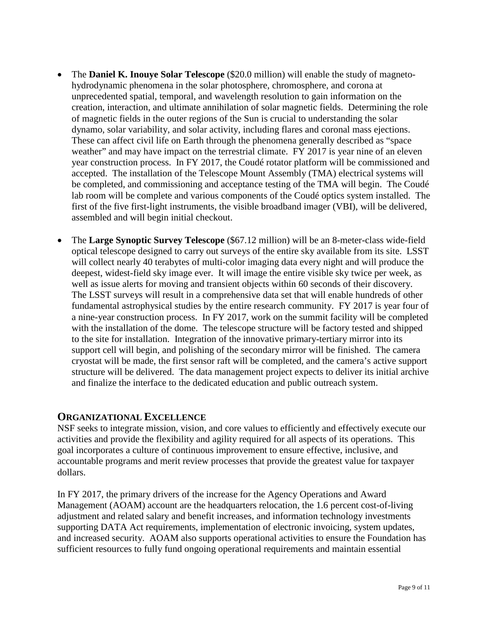- The **Daniel K. Inouye Solar Telescope** (\$20.0 million) will enable the study of magnetohydrodynamic phenomena in the solar photosphere, chromosphere, and corona at unprecedented spatial, temporal, and wavelength resolution to gain information on the creation, interaction, and ultimate annihilation of solar magnetic fields. Determining the role of magnetic fields in the outer regions of the Sun is crucial to understanding the solar dynamo, solar variability, and solar activity, including flares and coronal mass ejections. These can affect civil life on Earth through the phenomena generally described as "space weather" and may have impact on the terrestrial climate. FY 2017 is year nine of an eleven year construction process. In FY 2017, the Coudé rotator platform will be commissioned and accepted. The installation of the Telescope Mount Assembly (TMA) electrical systems will be completed, and commissioning and acceptance testing of the TMA will begin. The Coudé lab room will be complete and various components of the Coudé optics system installed. The first of the five first-light instruments, the visible broadband imager (VBI), will be delivered, assembled and will begin initial checkout.
- The **Large Synoptic Survey Telescope** (\$67.12 million) will be an 8-meter-class wide-field optical telescope designed to carry out surveys of the entire sky available from its site. LSST will collect nearly 40 terabytes of multi-color imaging data every night and will produce the deepest, widest-field sky image ever. It will image the entire visible sky twice per week, as well as issue alerts for moving and transient objects within 60 seconds of their discovery. The LSST surveys will result in a comprehensive data set that will enable hundreds of other fundamental astrophysical studies by the entire research community. FY 2017 is year four of a nine-year construction process. In FY 2017, work on the summit facility will be completed with the installation of the dome. The telescope structure will be factory tested and shipped to the site for installation. Integration of the innovative primary-tertiary mirror into its support cell will begin, and polishing of the secondary mirror will be finished. The camera cryostat will be made, the first sensor raft will be completed, and the camera's active support structure will be delivered. The data management project expects to deliver its initial archive and finalize the interface to the dedicated education and public outreach system.

### **ORGANIZATIONAL EXCELLENCE**

NSF seeks to integrate mission, vision, and core values to efficiently and effectively execute our activities and provide the flexibility and agility required for all aspects of its operations. This goal incorporates a culture of continuous improvement to ensure effective, inclusive, and accountable programs and merit review processes that provide the greatest value for taxpayer dollars.

In FY 2017, the primary drivers of the increase for the Agency Operations and Award Management (AOAM) account are the headquarters relocation, the 1.6 percent cost-of-living adjustment and related salary and benefit increases, and information technology investments supporting DATA Act requirements, implementation of electronic invoicing, system updates, and increased security. AOAM also supports operational activities to ensure the Foundation has sufficient resources to fully fund ongoing operational requirements and maintain essential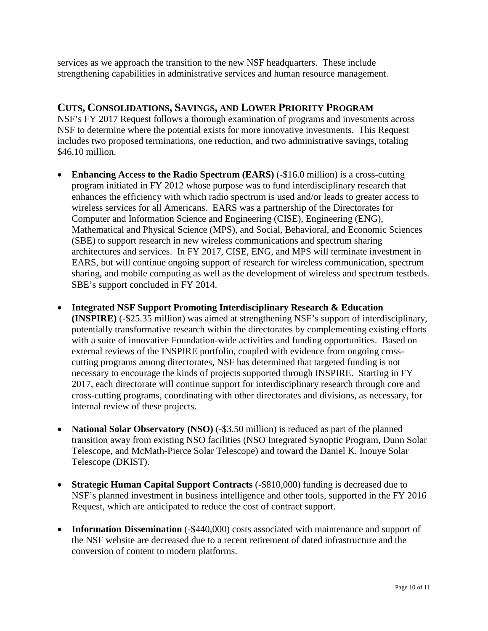services as we approach the transition to the new NSF headquarters. These include strengthening capabilities in administrative services and human resource management.

## **CUTS, CONSOLIDATIONS, SAVINGS, AND LOWER PRIORITY PROGRAM**

NSF's FY 2017 Request follows a thorough examination of programs and investments across NSF to determine where the potential exists for more innovative investments. This Request includes two proposed terminations, one reduction, and two administrative savings, totaling \$46.10 million.

- **Enhancing Access to the Radio Spectrum (EARS)** (-\$16.0 million) is a cross-cutting program initiated in FY 2012 whose purpose was to fund interdisciplinary research that enhances the efficiency with which radio spectrum is used and/or leads to greater access to wireless services for all Americans. EARS was a partnership of the Directorates for Computer and Information Science and Engineering (CISE), Engineering (ENG), Mathematical and Physical Science (MPS), and Social, Behavioral, and Economic Sciences (SBE) to support research in new wireless communications and spectrum sharing architectures and services. In FY 2017, CISE, ENG, and MPS will terminate investment in EARS, but will continue ongoing support of research for wireless communication, spectrum sharing, and mobile computing as well as the development of wireless and spectrum testbeds. SBE's support concluded in FY 2014.
- **Integrated NSF Support Promoting Interdisciplinary Research & Education (INSPIRE)** (-\$25.35 million) was aimed at strengthening NSF's support of interdisciplinary, potentially transformative research within the directorates by complementing existing efforts with a suite of innovative Foundation-wide activities and funding opportunities. Based on external reviews of the INSPIRE portfolio, coupled with evidence from ongoing crosscutting programs among directorates, NSF has determined that targeted funding is not necessary to encourage the kinds of projects supported through INSPIRE. Starting in FY 2017, each directorate will continue support for interdisciplinary research through core and cross-cutting programs, coordinating with other directorates and divisions, as necessary, for internal review of these projects.
- **National Solar Observatory (NSO)** (-\$3.50 million) is reduced as part of the planned transition away from existing NSO facilities (NSO Integrated Synoptic Program, Dunn Solar Telescope, and McMath-Pierce Solar Telescope) and toward the Daniel K. Inouye Solar Telescope (DKIST).
- **Strategic Human Capital Support Contracts (-\$810,000)** funding is decreased due to NSF's planned investment in business intelligence and other tools, supported in the FY 2016 Request, which are anticipated to reduce the cost of contract support.
- **Information Dissemination** (-\$440,000) costs associated with maintenance and support of the NSF website are decreased due to a recent retirement of dated infrastructure and the conversion of content to modern platforms.